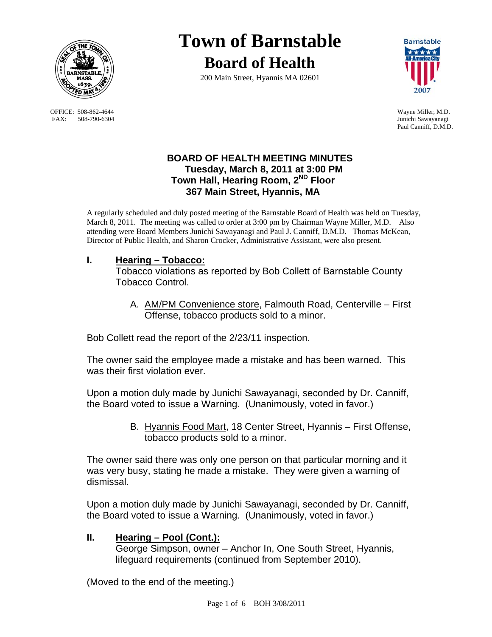

OFFICE: 508-862-4644 Wayne Miller, M.D.<br>
FAX: 508-790-6304 Junichi Sawayanagi FAX: 508-790-6304

# **Town of Barnstable Board of Health**

200 Main Street, Hyannis MA 02601



Paul Canniff, D.M.D.

## **BOARD OF HEALTH MEETING MINUTES Tuesday, March 8, 2011 at 3:00 PM Town Hall, Hearing Room, 2ND Floor 367 Main Street, Hyannis, MA**

A regularly scheduled and duly posted meeting of the Barnstable Board of Health was held on Tuesday, March 8, 2011. The meeting was called to order at 3:00 pm by Chairman Wayne Miller, M.D. Also attending were Board Members Junichi Sawayanagi and Paul J. Canniff, D.M.D. Thomas McKean, Director of Public Health, and Sharon Crocker, Administrative Assistant, were also present.

## **I. Hearing – Tobacco:**

Tobacco violations as reported by Bob Collett of Barnstable County Tobacco Control.

A. AM/PM Convenience store, Falmouth Road, Centerville – First Offense, tobacco products sold to a minor.

Bob Collett read the report of the 2/23/11 inspection.

The owner said the employee made a mistake and has been warned. This was their first violation ever.

Upon a motion duly made by Junichi Sawayanagi, seconded by Dr. Canniff, the Board voted to issue a Warning. (Unanimously, voted in favor.)

> B. Hyannis Food Mart, 18 Center Street, Hyannis – First Offense, tobacco products sold to a minor.

The owner said there was only one person on that particular morning and it was very busy, stating he made a mistake. They were given a warning of dismissal.

Upon a motion duly made by Junichi Sawayanagi, seconded by Dr. Canniff, the Board voted to issue a Warning. (Unanimously, voted in favor.)

## **II. Hearing – Pool (Cont.):**

 George Simpson, owner – Anchor In, One South Street, Hyannis, lifeguard requirements (continued from September 2010).

(Moved to the end of the meeting.)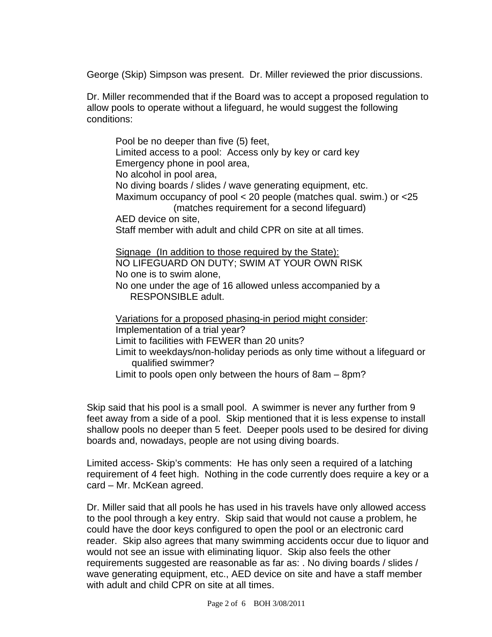George (Skip) Simpson was present. Dr. Miller reviewed the prior discussions.

Dr. Miller recommended that if the Board was to accept a proposed regulation to allow pools to operate without a lifeguard, he would suggest the following conditions:

 Pool be no deeper than five (5) feet, Limited access to a pool: Access only by key or card key Emergency phone in pool area, No alcohol in pool area, No diving boards / slides / wave generating equipment, etc. Maximum occupancy of pool < 20 people (matches qual. swim.) or <25 (matches requirement for a second lifeguard) AED device on site, Staff member with adult and child CPR on site at all times. Signage (In addition to those required by the State): NO LIFEGUARD ON DUTY; SWIM AT YOUR OWN RISK No one is to swim alone, No one under the age of 16 allowed unless accompanied by a RESPONSIBLE adult. Variations for a proposed phasing-in period might consider: Implementation of a trial year? Limit to facilities with FEWER than 20 units?

 Limit to weekdays/non-holiday periods as only time without a lifeguard or qualified swimmer?

Limit to pools open only between the hours of 8am – 8pm?

Skip said that his pool is a small pool. A swimmer is never any further from 9 feet away from a side of a pool. Skip mentioned that it is less expense to install shallow pools no deeper than 5 feet. Deeper pools used to be desired for diving boards and, nowadays, people are not using diving boards.

Limited access- Skip's comments: He has only seen a required of a latching requirement of 4 feet high. Nothing in the code currently does require a key or a card – Mr. McKean agreed.

Dr. Miller said that all pools he has used in his travels have only allowed access to the pool through a key entry. Skip said that would not cause a problem, he could have the door keys configured to open the pool or an electronic card reader. Skip also agrees that many swimming accidents occur due to liquor and would not see an issue with eliminating liquor. Skip also feels the other requirements suggested are reasonable as far as: . No diving boards / slides / wave generating equipment, etc., AED device on site and have a staff member with adult and child CPR on site at all times.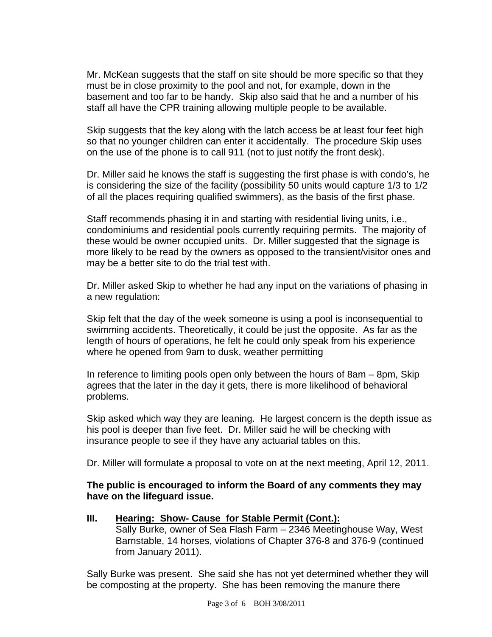Mr. McKean suggests that the staff on site should be more specific so that they must be in close proximity to the pool and not, for example, down in the basement and too far to be handy. Skip also said that he and a number of his staff all have the CPR training allowing multiple people to be available.

Skip suggests that the key along with the latch access be at least four feet high so that no younger children can enter it accidentally. The procedure Skip uses on the use of the phone is to call 911 (not to just notify the front desk).

Dr. Miller said he knows the staff is suggesting the first phase is with condo's, he is considering the size of the facility (possibility 50 units would capture 1/3 to 1/2 of all the places requiring qualified swimmers), as the basis of the first phase.

Staff recommends phasing it in and starting with residential living units, i.e., condominiums and residential pools currently requiring permits. The majority of these would be owner occupied units. Dr. Miller suggested that the signage is more likely to be read by the owners as opposed to the transient/visitor ones and may be a better site to do the trial test with.

Dr. Miller asked Skip to whether he had any input on the variations of phasing in a new regulation:

Skip felt that the day of the week someone is using a pool is inconsequential to swimming accidents. Theoretically, it could be just the opposite. As far as the length of hours of operations, he felt he could only speak from his experience where he opened from 9am to dusk, weather permitting

In reference to limiting pools open only between the hours of 8am – 8pm, Skip agrees that the later in the day it gets, there is more likelihood of behavioral problems.

Skip asked which way they are leaning. He largest concern is the depth issue as his pool is deeper than five feet. Dr. Miller said he will be checking with insurance people to see if they have any actuarial tables on this.

Dr. Miller will formulate a proposal to vote on at the next meeting, April 12, 2011.

## **The public is encouraged to inform the Board of any comments they may have on the lifeguard issue.**

**III. Hearing: Show- Cause for Stable Permit (Cont.):** Sally Burke, owner of Sea Flash Farm – 2346 Meetinghouse Way, West Barnstable, 14 horses, violations of Chapter 376-8 and 376-9 (continued from January 2011).

Sally Burke was present. She said she has not yet determined whether they will be composting at the property. She has been removing the manure there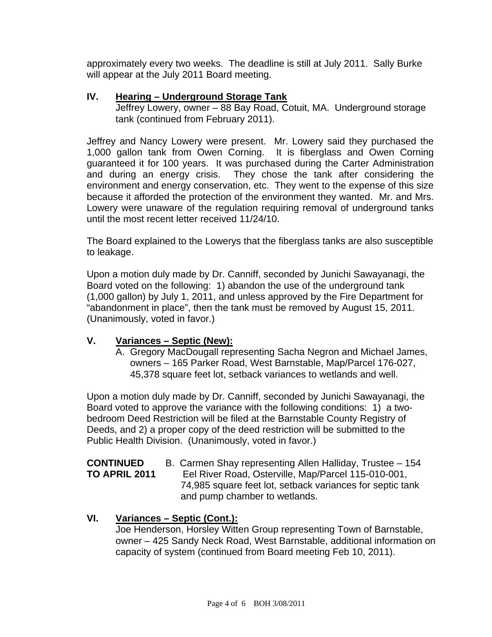approximately every two weeks. The deadline is still at July 2011. Sally Burke will appear at the July 2011 Board meeting.

## **IV. Hearing – Underground Storage Tank**

Jeffrey Lowery, owner – 88 Bay Road, Cotuit, MA. Underground storage tank (continued from February 2011).

Jeffrey and Nancy Lowery were present. Mr. Lowery said they purchased the 1,000 gallon tank from Owen Corning. It is fiberglass and Owen Corning guaranteed it for 100 years. It was purchased during the Carter Administration and during an energy crisis. They chose the tank after considering the environment and energy conservation, etc. They went to the expense of this size because it afforded the protection of the environment they wanted. Mr. and Mrs. Lowery were unaware of the regulation requiring removal of underground tanks until the most recent letter received 11/24/10.

The Board explained to the Lowerys that the fiberglass tanks are also susceptible to leakage.

Upon a motion duly made by Dr. Canniff, seconded by Junichi Sawayanagi, the Board voted on the following: 1) abandon the use of the underground tank (1,000 gallon) by July 1, 2011, and unless approved by the Fire Department for "abandonment in place", then the tank must be removed by August 15, 2011. (Unanimously, voted in favor.)

# **V. Variances – Septic (New):**

A. Gregory MacDougall representing Sacha Negron and Michael James, owners – 165 Parker Road, West Barnstable, Map/Parcel 176-027, 45,378 square feet lot, setback variances to wetlands and well.

Upon a motion duly made by Dr. Canniff, seconded by Junichi Sawayanagi, the Board voted to approve the variance with the following conditions: 1) a twobedroom Deed Restriction will be filed at the Barnstable County Registry of Deeds, and 2) a proper copy of the deed restriction will be submitted to the Public Health Division. (Unanimously, voted in favor.)

**CONTINUED** B. Carmen Shay representing Allen Halliday, Trustee – 154 **TO APRIL 2011** Eel River Road, Osterville, Map/Parcel 115-010-001, 74,985 square feet lot, setback variances for septic tank and pump chamber to wetlands.

## **VI. Variances – Septic (Cont.):**

Joe Henderson, Horsley Witten Group representing Town of Barnstable, owner – 425 Sandy Neck Road, West Barnstable, additional information on capacity of system (continued from Board meeting Feb 10, 2011).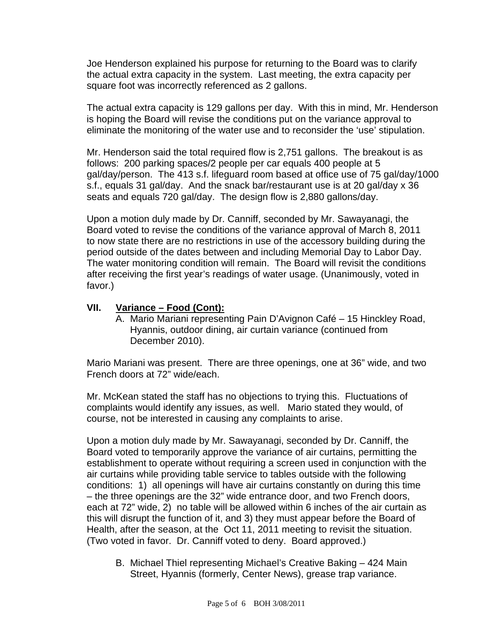Joe Henderson explained his purpose for returning to the Board was to clarify the actual extra capacity in the system. Last meeting, the extra capacity per square foot was incorrectly referenced as 2 gallons.

 The actual extra capacity is 129 gallons per day. With this in mind, Mr. Henderson is hoping the Board will revise the conditions put on the variance approval to eliminate the monitoring of the water use and to reconsider the 'use' stipulation.

Mr. Henderson said the total required flow is 2,751 gallons. The breakout is as follows: 200 parking spaces/2 people per car equals 400 people at 5 gal/day/person. The 413 s.f. lifeguard room based at office use of 75 gal/day/1000 s.f., equals 31 gal/day. And the snack bar/restaurant use is at 20 gal/day x 36 seats and equals 720 gal/day. The design flow is 2,880 gallons/day.

Upon a motion duly made by Dr. Canniff, seconded by Mr. Sawayanagi, the Board voted to revise the conditions of the variance approval of March 8, 2011 to now state there are no restrictions in use of the accessory building during the period outside of the dates between and including Memorial Day to Labor Day. The water monitoring condition will remain. The Board will revisit the conditions after receiving the first year's readings of water usage. (Unanimously, voted in favor.)

## **VII. Variance – Food (Cont):**

A. Mario Mariani representing Pain D'Avignon Café – 15 Hinckley Road, Hyannis, outdoor dining, air curtain variance (continued from December 2010).

Mario Mariani was present. There are three openings, one at 36" wide, and two French doors at 72" wide/each.

Mr. McKean stated the staff has no objections to trying this. Fluctuations of complaints would identify any issues, as well. Mario stated they would, of course, not be interested in causing any complaints to arise.

Upon a motion duly made by Mr. Sawayanagi, seconded by Dr. Canniff, the Board voted to temporarily approve the variance of air curtains, permitting the establishment to operate without requiring a screen used in conjunction with the air curtains while providing table service to tables outside with the following conditions: 1) all openings will have air curtains constantly on during this time – the three openings are the 32" wide entrance door, and two French doors, each at 72" wide, 2) no table will be allowed within 6 inches of the air curtain as this will disrupt the function of it, and 3) they must appear before the Board of Health, after the season, at the Oct 11, 2011 meeting to revisit the situation. (Two voted in favor. Dr. Canniff voted to deny. Board approved.)

B. Michael Thiel representing Michael's Creative Baking – 424 Main Street, Hyannis (formerly, Center News), grease trap variance.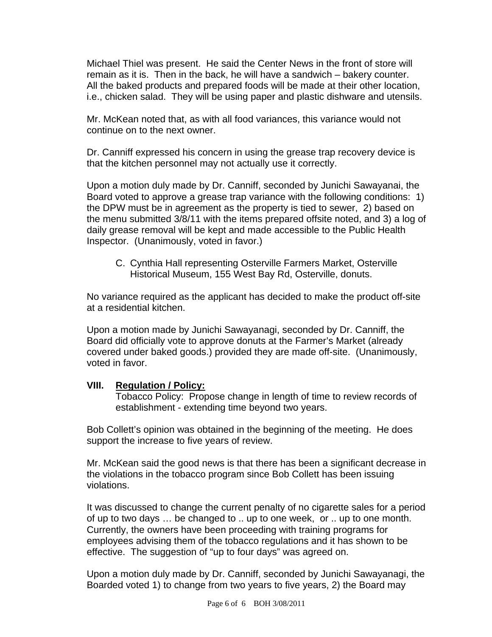Michael Thiel was present. He said the Center News in the front of store will remain as it is. Then in the back, he will have a sandwich – bakery counter. All the baked products and prepared foods will be made at their other location, i.e., chicken salad. They will be using paper and plastic dishware and utensils.

Mr. McKean noted that, as with all food variances, this variance would not continue on to the next owner.

Dr. Canniff expressed his concern in using the grease trap recovery device is that the kitchen personnel may not actually use it correctly.

Upon a motion duly made by Dr. Canniff, seconded by Junichi Sawayanai, the Board voted to approve a grease trap variance with the following conditions: 1) the DPW must be in agreement as the property is tied to sewer, 2) based on the menu submitted 3/8/11 with the items prepared offsite noted, and 3) a log of daily grease removal will be kept and made accessible to the Public Health Inspector. (Unanimously, voted in favor.)

C. Cynthia Hall representing Osterville Farmers Market, Osterville Historical Museum, 155 West Bay Rd, Osterville, donuts.

No variance required as the applicant has decided to make the product off-site at a residential kitchen.

Upon a motion made by Junichi Sawayanagi, seconded by Dr. Canniff, the Board did officially vote to approve donuts at the Farmer's Market (already covered under baked goods.) provided they are made off-site. (Unanimously, voted in favor.

## **VIII. Regulation / Policy:**

 Tobacco Policy: Propose change in length of time to review records of establishment - extending time beyond two years.

Bob Collett's opinion was obtained in the beginning of the meeting. He does support the increase to five years of review.

Mr. McKean said the good news is that there has been a significant decrease in the violations in the tobacco program since Bob Collett has been issuing violations.

It was discussed to change the current penalty of no cigarette sales for a period of up to two days … be changed to .. up to one week, or .. up to one month. Currently, the owners have been proceeding with training programs for employees advising them of the tobacco regulations and it has shown to be effective. The suggestion of "up to four days" was agreed on.

Upon a motion duly made by Dr. Canniff, seconded by Junichi Sawayanagi, the Boarded voted 1) to change from two years to five years, 2) the Board may